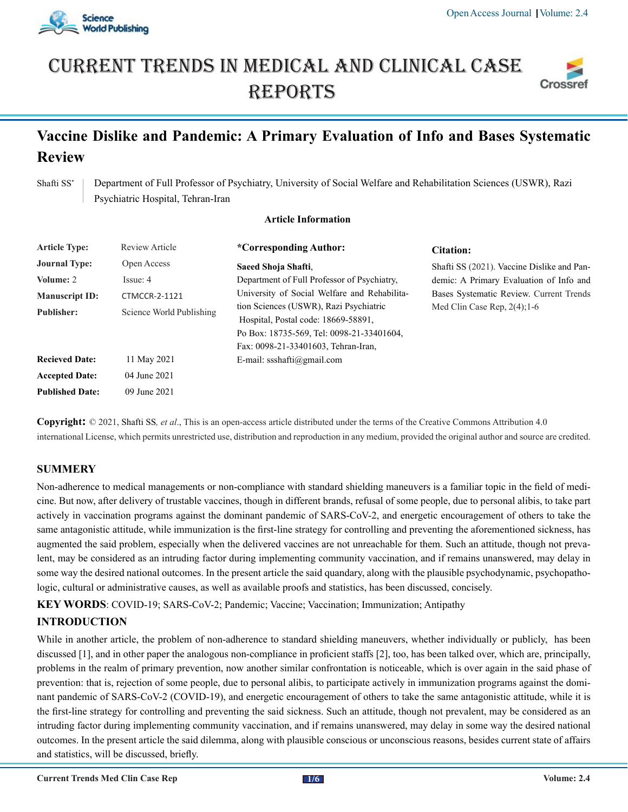

# Current trends in medical and Clinical case **REPORTS**



# **Vaccine Dislike and Pandemic: A Primary Evaluation of Info and Bases Systematic Review**

Shafti SS<sup>\*</sup> Department of Full Professor of Psychiatry, University of Social Welfare and Rehabilitation Sciences (USWR), Razi Psychiatric Hospital, Tehran-Iran

#### **Article Information**

| <b>Article Type:</b>   | <b>Review Article</b>    | *Corresponding Author:                                                                                                                                            | <b>Citation:</b>                           |
|------------------------|--------------------------|-------------------------------------------------------------------------------------------------------------------------------------------------------------------|--------------------------------------------|
| <b>Journal Type:</b>   | Open Access              | Saeed Shoja Shafti.                                                                                                                                               | Shafti SS (2021). Vaccine Dislike and Pan- |
| Volume: 2              | Issue: 4                 | Department of Full Professor of Psychiatry,                                                                                                                       | demic: A Primary Evaluation of Info and    |
| <b>Manuscript ID:</b>  | <b>CTMCCR-2-1121</b>     | University of Social Welfare and Rehabilita-                                                                                                                      | Bases Systematic Review. Current Trends    |
| <b>Publisher:</b>      | Science World Publishing | tion Sciences (USWR), Razi Psychiatric<br>Hospital, Postal code: 18669-58891,<br>Po Box: 18735-569, Tel: 0098-21-33401604,<br>Fax: 0098-21-33401603, Tehran-Iran, | Med Clin Case Rep. $2(4)$ ; 1-6            |
| <b>Recieved Date:</b>  | 11 May 2021              | E-mail: ssshafti@gmail.com                                                                                                                                        |                                            |
| <b>Accepted Date:</b>  | 04 June 2021             |                                                                                                                                                                   |                                            |
| <b>Published Date:</b> | 09 June 2021             |                                                                                                                                                                   |                                            |

**Copyright:** © 2021, Shafti SS*, et al*., This is an open-access article distributed under the terms of the Creative Commons Attribution 4.0 international License, which permits unrestricted use, distribution and reproduction in any medium, provided the original author and source are credited.

#### **SUMMERY**

Non-adherence to medical managements or non-compliance with standard shielding maneuvers is a familiar topic in the field of medicine. But now, after delivery of trustable vaccines, though in different brands, refusal of some people, due to personal alibis, to take part actively in vaccination programs against the dominant pandemic of SARS-CoV-2, and energetic encouragement of others to take the same antagonistic attitude, while immunization is the first-line strategy for controlling and preventing the aforementioned sickness, has augmented the said problem, especially when the delivered vaccines are not unreachable for them. Such an attitude, though not prevalent, may be considered as an intruding factor during implementing community vaccination, and if remains unanswered, may delay in some way the desired national outcomes. In the present article the said quandary, along with the plausible psychodynamic, psychopathologic, cultural or administrative causes, as well as available proofs and statistics, has been discussed, concisely.

**KEY WORDS**: COVID-19; SARS-CoV-2; Pandemic; Vaccine; Vaccination; Immunization; Antipathy

## **INTRODUCTION**

While in another article, the problem of non-adherence to standard shielding maneuvers, whether individually or publicly, has been discussed [1], and in other paper the analogous non-compliance in proficient staffs [2], too, has been talked over, which are, principally, problems in the realm of primary prevention, now another similar confrontation is noticeable, which is over again in the said phase of prevention: that is, rejection of some people, due to personal alibis, to participate actively in immunization programs against the dominant pandemic of SARS-CoV-2 (COVID-19), and energetic encouragement of others to take the same antagonistic attitude, while it is the first-line strategy for controlling and preventing the said sickness. Such an attitude, though not prevalent, may be considered as an intruding factor during implementing community vaccination, and if remains unanswered, may delay in some way the desired national outcomes. In the present article the said dilemma, along with plausible conscious or unconscious reasons, besides current state of affairs and statistics, will be discussed, briefly.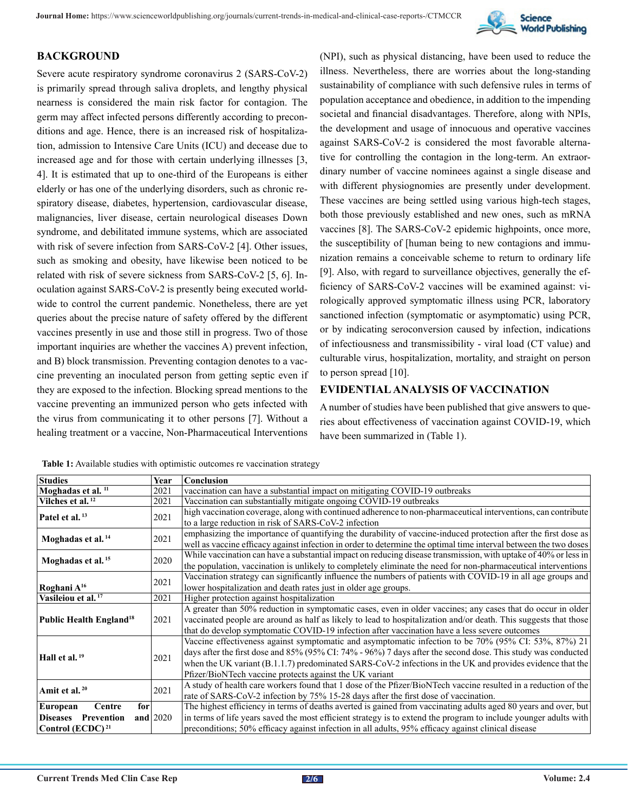

#### **BACKGROUND**

Severe acute respiratory syndrome coronavirus 2 (SARS-CoV-2) is primarily spread through saliva droplets, and lengthy physical nearness is considered the main risk factor for contagion. The germ may affect infected persons differently according to preconditions and age. Hence, there is an increased risk of hospitalization, admission to Intensive Care Units (ICU) and decease due to increased age and for those with certain underlying illnesses [3, 4]. It is estimated that up to one-third of the Europeans is either elderly or has one of the underlying disorders, such as chronic respiratory disease, diabetes, hypertension, cardiovascular disease, malignancies, liver disease, certain neurological diseases Down syndrome, and debilitated immune systems, which are associated with risk of severe infection from SARS-CoV-2 [4]. Other issues, such as smoking and obesity, have likewise been noticed to be related with risk of severe sickness from SARS-CoV-2 [5, 6]. Inoculation against SARS-CoV-2 is presently being executed worldwide to control the current pandemic. Nonetheless, there are yet queries about the precise nature of safety offered by the different vaccines presently in use and those still in progress. Two of those important inquiries are whether the vaccines A) prevent infection, and B) block transmission. Preventing contagion denotes to a vaccine preventing an inoculated person from getting septic even if they are exposed to the infection. Blocking spread mentions to the vaccine preventing an immunized person who gets infected with the virus from communicating it to other persons [7]. Without a healing treatment or a vaccine, Non-Pharmaceutical Interventions

(NPI), such as physical distancing, have been used to reduce the illness. Nevertheless, there are worries about the long-standing sustainability of compliance with such defensive rules in terms of population acceptance and obedience, in addition to the impending societal and financial disadvantages. Therefore, along with NPIs, the development and usage of innocuous and operative vaccines against SARS-CoV-2 is considered the most favorable alternative for controlling the contagion in the long-term. An extraordinary number of vaccine nominees against a single disease and with different physiognomies are presently under development. These vaccines are being settled using various high-tech stages, both those previously established and new ones, such as mRNA vaccines [8]. The SARS-CoV-2 epidemic highpoints, once more, the susceptibility of [human being to new contagions and immunization remains a conceivable scheme to return to ordinary life [9]. Also, with regard to surveillance objectives, generally the efficiency of SARS-CoV-2 vaccines will be examined against: virologically approved symptomatic illness using PCR, laboratory sanctioned infection (symptomatic or asymptomatic) using PCR, or by indicating seroconversion caused by infection, indications of infectiousness and transmissibility - viral load (CT value) and culturable virus, hospitalization, mortality, and straight on person to person spread [10].

#### **EVIDENTIAL ANALYSIS OF VACCINATION**

A number of studies have been published that give answers to queries about effectiveness of vaccination against COVID-19, which have been summarized in (Table 1).

| <b>Studies</b>                             | Year        | <b>Conclusion</b>                                                                                                |
|--------------------------------------------|-------------|------------------------------------------------------------------------------------------------------------------|
| Moghadas et al. <sup>11</sup>              | 2021        | vaccination can have a substantial impact on mitigating COVID-19 outbreaks                                       |
| Vilches et al. <sup>12</sup>               | 2021        | Vaccination can substantially mitigate ongoing COVID-19 outbreaks                                                |
| Patel et al. <sup>13</sup>                 | 2021        | high vaccination coverage, along with continued adherence to non-pharmaceutical interventions, can contribute    |
|                                            |             | to a large reduction in risk of SARS-CoV-2 infection                                                             |
|                                            | 2021        | emphasizing the importance of quantifying the durability of vaccine-induced protection after the first dose as   |
| Moghadas et al. <sup>14</sup>              |             | well as vaccine efficacy against infection in order to determine the optimal time interval between the two doses |
|                                            |             | While vaccination can have a substantial impact on reducing disease transmission, with uptake of 40% or less in  |
| Moghadas et al. <sup>15</sup>              | 2020        | the population, vaccination is unlikely to completely eliminate the need for non-pharmaceutical interventions    |
|                                            |             | Vaccination strategy can significantly influence the numbers of patients with COVID-19 in all age groups and     |
| Roghani A <sup>16</sup>                    | 2021        | lower hospitalization and death rates just in older age groups.                                                  |
| Vasileiou et al. <sup>17</sup>             | 2021        | Higher protection against hospitalization                                                                        |
|                                            | 2021        | A greater than 50% reduction in symptomatic cases, even in older vaccines; any cases that do occur in older      |
| <b>Public Health England</b> <sup>18</sup> |             | vaccinated people are around as half as likely to lead to hospitalization and/or death. This suggests that those |
|                                            |             | that do develop symptomatic COVID-19 infection after vaccination have a less severe outcomes                     |
|                                            |             | Vaccine effectiveness against symptomatic and asymptomatic infection to be 70% (95% CI: 53%, 87%) 21             |
|                                            | 2021        | days after the first dose and 85% (95% CI: 74% - 96%) 7 days after the second dose. This study was conducted     |
| Hall et al. <sup>19</sup>                  |             | when the UK variant (B.1.1.7) predominated SARS-CoV-2 infections in the UK and provides evidence that the        |
|                                            |             | Pfizer/BioNTech vaccine protects against the UK variant                                                          |
|                                            | 2021        | A study of health care workers found that 1 dose of the Pfizer/BioNTech vaccine resulted in a reduction of the   |
| Amit et al. $20$                           |             | rate of SARS-CoV-2 infection by 75% 15-28 days after the first dose of vaccination.                              |
| European<br>for<br>Centre                  |             | The highest efficiency in terms of deaths averted is gained from vaccinating adults aged 80 years and over, but  |
| <b>Diseases</b><br>Prevention              | and $ 2020$ | in terms of life years saved the most efficient strategy is to extend the program to include younger adults with |
| Control (ECDC) <sup>21</sup>               |             | preconditions; 50% efficacy against infection in all adults, 95% efficacy against clinical disease               |

**Table 1:** Available studies with optimistic outcomes re vaccination strategy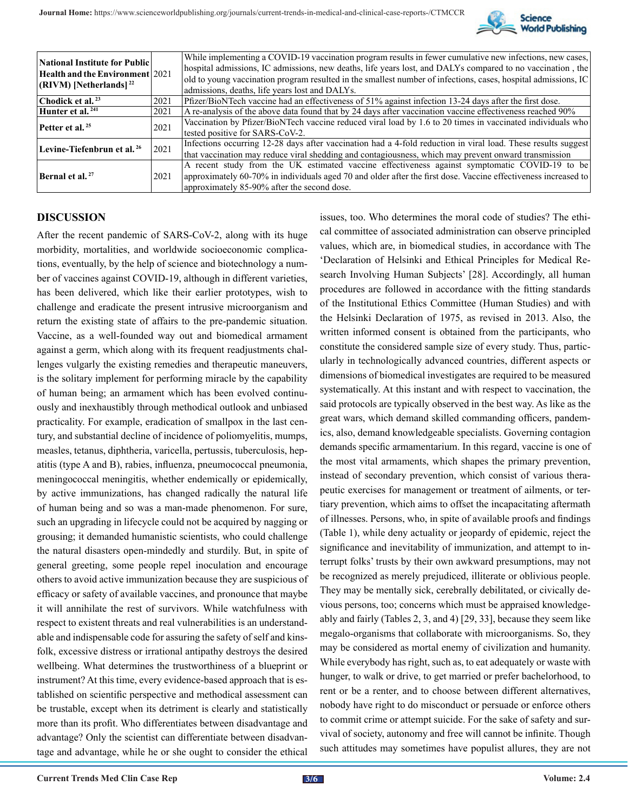

| <b>National Institute for Public</b>   |       | While implementing a COVID-19 vaccination program results in fewer cumulative new infections, new cases,       |
|----------------------------------------|-------|----------------------------------------------------------------------------------------------------------------|
| Health and the Environment 2021        |       | hospital admissions, IC admissions, new deaths, life years lost, and DALYs compared to no vaccination, the     |
| $ $ (RIVM) [Netherlands] <sup>22</sup> |       | old to young vaccination program resulted in the smallest number of infections, cases, hospital admissions, IC |
|                                        |       | admissions, deaths, life years lost and DALYs.                                                                 |
| Chodick et al. $^{23}$                 | 2021  | Pfizer/BioNTech vaccine had an effectiveness of 51% against infection 13-24 days after the first dose.         |
| Hunter et al. <sup>241</sup>           | 2021  | A re-analysis of the above data found that by 24 days after vaccination vaccine effectiveness reached 90%      |
| Petter et al. <sup>25</sup>            | 2021  | Vaccination by Pfizer/BioNTech vaccine reduced viral load by 1.6 to 20 times in vaccinated individuals who     |
|                                        |       | tested positive for SARS-CoV-2.                                                                                |
| Levine-Tiefenbrun et al. <sup>26</sup> | 12021 | Infections occurring 12-28 days after vaccination had a 4-fold reduction in viral load. These results suggest  |
|                                        |       | that vaccination may reduce viral shedding and contagiousness, which may prevent onward transmission           |
|                                        | 2021  | A recent study from the UK estimated vaccine effectiveness against symptomatic COVID-19 to be                  |
| Bernal et al. <sup>27</sup>            |       | approximately 60-70% in individuals aged 70 and older after the first dose. Vaccine effectiveness increased to |
|                                        |       | approximately 85-90% after the second dose.                                                                    |

#### **DISCUSSION**

After the recent pandemic of SARS-CoV-2, along with its huge morbidity, mortalities, and worldwide socioeconomic complications, eventually, by the help of science and biotechnology a number of vaccines against COVID-19, although in different varieties, has been delivered, which like their earlier prototypes, wish to challenge and eradicate the present intrusive microorganism and return the existing state of affairs to the pre-pandemic situation. Vaccine, as a well-founded way out and biomedical armament against a germ, which along with its frequent readjustments challenges vulgarly the existing remedies and therapeutic maneuvers, is the solitary implement for performing miracle by the capability of human being; an armament which has been evolved continuously and inexhaustibly through methodical outlook and unbiased practicality. For example, eradication of smallpox in the last century, and substantial decline of incidence of poliomyelitis, mumps, measles, tetanus, diphtheria, varicella, pertussis, tuberculosis, hepatitis (type A and B), rabies, influenza, pneumococcal pneumonia, meningococcal meningitis, whether endemically or epidemically, by active immunizations, has changed radically the natural life of human being and so was a man-made phenomenon. For sure, such an upgrading in lifecycle could not be acquired by nagging or grousing; it demanded humanistic scientists, who could challenge the natural disasters open-mindedly and sturdily. But, in spite of general greeting, some people repel inoculation and encourage others to avoid active immunization because they are suspicious of efficacy or safety of available vaccines, and pronounce that maybe it will annihilate the rest of survivors. While watchfulness with respect to existent threats and real vulnerabilities is an understandable and indispensable code for assuring the safety of self and kinsfolk, excessive distress or irrational antipathy destroys the desired wellbeing. What determines the trustworthiness of a blueprint or instrument? At this time, every evidence-based approach that is established on scientific perspective and methodical assessment can be trustable, except when its detriment is clearly and statistically more than its profit. Who differentiates between disadvantage and advantage? Only the scientist can differentiate between disadvantage and advantage, while he or she ought to consider the ethical

issues, too. Who determines the moral code of studies? The ethical committee of associated administration can observe principled values, which are, in biomedical studies, in accordance with The 'Declaration of Helsinki and Ethical Principles for Medical Research Involving Human Subjects' [28]. Accordingly, all human procedures are followed in accordance with the fitting standards of the Institutional Ethics Committee (Human Studies) and with the Helsinki Declaration of 1975, as revised in 2013. Also, the written informed consent is obtained from the participants, who constitute the considered sample size of every study. Thus, particularly in technologically advanced countries, different aspects or dimensions of biomedical investigates are required to be measured systematically. At this instant and with respect to vaccination, the said protocols are typically observed in the best way. As like as the great wars, which demand skilled commanding officers, pandemics, also, demand knowledgeable specialists. Governing contagion demands specific armamentarium. In this regard, vaccine is one of the most vital armaments, which shapes the primary prevention, instead of secondary prevention, which consist of various therapeutic exercises for management or treatment of ailments, or tertiary prevention, which aims to offset the incapacitating aftermath of illnesses. Persons, who, in spite of available proofs and findings (Table 1), while deny actuality or jeopardy of epidemic, reject the significance and inevitability of immunization, and attempt to interrupt folks' trusts by their own awkward presumptions, may not be recognized as merely prejudiced, illiterate or oblivious people. They may be mentally sick, cerebrally debilitated, or civically devious persons, too; concerns which must be appraised knowledgeably and fairly (Tables 2, 3, and 4) [29, 33], because they seem like megalo-organisms that collaborate with microorganisms. So, they may be considered as mortal enemy of civilization and humanity. While everybody has right, such as, to eat adequately or waste with hunger, to walk or drive, to get married or prefer bachelorhood, to rent or be a renter, and to choose between different alternatives, nobody have right to do misconduct or persuade or enforce others to commit crime or attempt suicide. For the sake of safety and survival of society, autonomy and free will cannot be infinite. Though such attitudes may sometimes have populist allures, they are not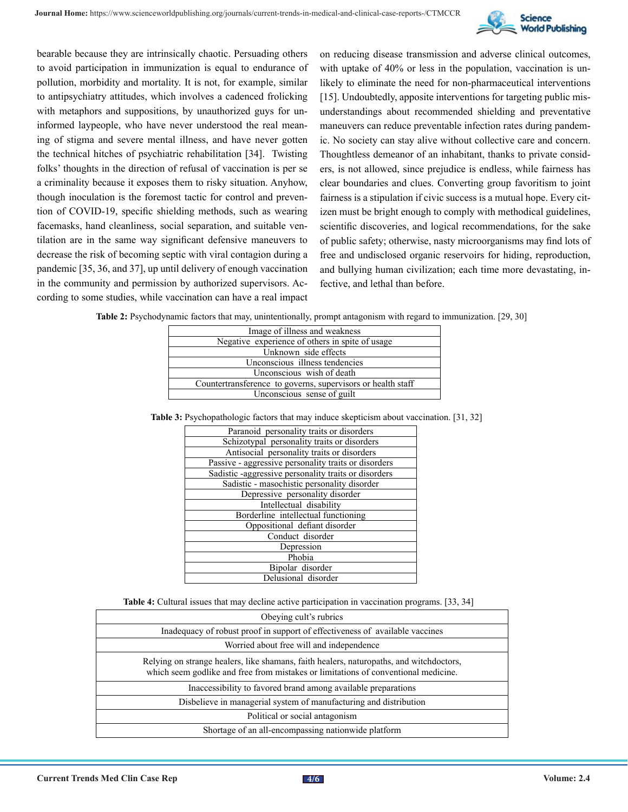

bearable because they are intrinsically chaotic. Persuading others to avoid participation in immunization is equal to endurance of pollution, morbidity and mortality. It is not, for example, similar to antipsychiatry attitudes, which involves a cadenced frolicking with metaphors and suppositions, by unauthorized guys for uninformed laypeople, who have never understood the real meaning of stigma and severe mental illness, and have never gotten the technical hitches of psychiatric rehabilitation [34]. Twisting folks' thoughts in the direction of refusal of vaccination is per se a criminality because it exposes them to risky situation. Anyhow, though inoculation is the foremost tactic for control and prevention of COVID-19, specific shielding methods, such as wearing facemasks, hand cleanliness, social separation, and suitable ventilation are in the same way significant defensive maneuvers to decrease the risk of becoming septic with viral contagion during a pandemic [35, 36, and 37], up until delivery of enough vaccination in the community and permission by authorized supervisors. According to some studies, while vaccination can have a real impact

on reducing disease transmission and adverse clinical outcomes, with uptake of 40% or less in the population, vaccination is unlikely to eliminate the need for non-pharmaceutical interventions [15]. Undoubtedly, apposite interventions for targeting public misunderstandings about recommended shielding and preventative maneuvers can reduce preventable infection rates during pandemic. No society can stay alive without collective care and concern. Thoughtless demeanor of an inhabitant, thanks to private considers, is not allowed, since prejudice is endless, while fairness has clear boundaries and clues. Converting group favoritism to joint fairness is a stipulation if civic success is a mutual hope. Every citizen must be bright enough to comply with methodical guidelines, scientific discoveries, and logical recommendations, for the sake of public safety; otherwise, nasty microorganisms may find lots of free and undisclosed organic reservoirs for hiding, reproduction, and bullying human civilization; each time more devastating, infective, and lethal than before.

| Table 2: Psychodynamic factors that may, unintentionally, prompt antagonism with regard to immunization. [29, 30] |
|-------------------------------------------------------------------------------------------------------------------|
|-------------------------------------------------------------------------------------------------------------------|

| Image of illness and weakness                               |  |
|-------------------------------------------------------------|--|
| Negative experience of others in spite of usage             |  |
| Unknown side effects                                        |  |
| Unconscious illness tendencies                              |  |
| Unconscious wish of death                                   |  |
| Countertransference to governs, supervisors or health staff |  |
| Unconscious sense of guilt                                  |  |
|                                                             |  |

| Table 3: Psychopathologic factors that may induce skepticism about vaccination. [31, 32] |  |  |
|------------------------------------------------------------------------------------------|--|--|
|                                                                                          |  |  |
|                                                                                          |  |  |
|                                                                                          |  |  |

| Paranoid personality traits or disorders             |
|------------------------------------------------------|
| Schizotypal personality traits or disorders          |
| Antisocial personality traits or disorders           |
| Passive - aggressive personality traits or disorders |
| Sadistic -aggressive personality traits or disorders |
| Sadistic - masochistic personality disorder          |
| Depressive personality disorder                      |
| Intellectual disability                              |
| Borderline intellectual functioning                  |
| Oppositional defiant disorder                        |
| Conduct disorder                                     |
| Depression                                           |
| Phobia                                               |
| Bipolar disorder                                     |
| Delusional disorder                                  |

|  |  |  |  | Table 4: Cultural issues that may decline active participation in vaccination programs. [33, 34] |  |  |
|--|--|--|--|--------------------------------------------------------------------------------------------------|--|--|
|--|--|--|--|--------------------------------------------------------------------------------------------------|--|--|

| Obeying cult's rubrics                                                                                                                                                        |
|-------------------------------------------------------------------------------------------------------------------------------------------------------------------------------|
| Inadequacy of robust proof in support of effectiveness of available vaccines                                                                                                  |
| Worried about free will and independence                                                                                                                                      |
| Relying on strange healers, like shamans, faith healers, naturopaths, and witchdoctors,<br>which seem godlike and free from mistakes or limitations of conventional medicine. |
| Inaccessibility to favored brand among available preparations                                                                                                                 |
| Disbelieve in managerial system of manufacturing and distribution                                                                                                             |
| Political or social antagonism                                                                                                                                                |
| Shortage of an all-encompassing nationwide platform                                                                                                                           |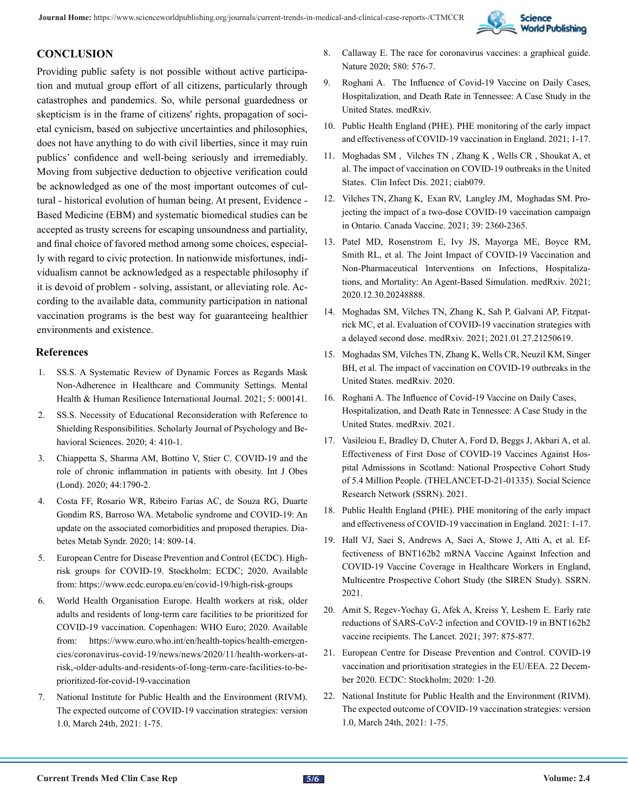

### **CONCLUSION**

Providing public safety is not possible without active participation and mutual group effort of all citizens, particularly through catastrophes and pandemics. So, while personal guardedness or skepticism is in the frame of citizens' rights, propagation of societal cynicism, based on subjective uncertainties and philosophies, does not have anything to do with civil liberties, since it may ruin publics' confidence and well-being seriously and irremediably. Moving from subjective deduction to objective verification could be acknowledged as one of the most important outcomes of cultural - historical evolution of human being. At present, Evidence - Based Medicine (EBM) and systematic biomedical studies can be accepted as trusty screens for escaping unsoundness and partiality, and final choice of favored method among some choices, especially with regard to civic protection. In nationwide misfortunes, individualism cannot be acknowledged as a respectable philosophy if it is devoid of problem - solving, assistant, or alleviating role. According to the available data, community participation in national vaccination programs is the best way for guaranteeing healthier environments and existence.

#### **References**

- 1. SS.S. A Systematic Review of Dynamic Forces as Regards Mask Non-Adherence in Healthcare and Community Settings. Mental Health & Human Resilience International Journal. 2021; 5: 000141.
- 2. SS.S. Necessity of Educational Reconsideration with Reference to Shielding Responsibilities. Scholarly Journal of Psychology and Behavioral Sciences. 2020; 4: 410-1.
- 3. [Chiappetta S, Sharma AM, Bottino V, Stier C. COVID-19 and the](https://www.nature.com/articles/s41366-020-0597-4) [role of chronic inflammation in patients with obesity. Int J Obes](https://www.nature.com/articles/s41366-020-0597-4) [\(Lond\). 2020; 44:1790-2.](https://www.nature.com/articles/s41366-020-0597-4)
- 4. [Costa FF, Rosario WR, Ribeiro Farias AC, de Souza RG, Duarte](https://pubmed.ncbi.nlm.nih.gov/32540733/)  [Gondim RS, Barroso WA. Metabolic syndrome and COVID-19: An](https://pubmed.ncbi.nlm.nih.gov/32540733/) [update on the associated comorbidities and proposed therapies. Dia](https://pubmed.ncbi.nlm.nih.gov/32540733/)[betes Metab Syndr. 2020; 14: 809-14.](https://pubmed.ncbi.nlm.nih.gov/32540733/)
- 5. European Centre for Disease Prevention and Control (ECDC). Highrisk groups for COVID-19. Stockholm: ECDC; 2020. Available from:<https://www.ecdc.europa.eu/en/covid-19/high-risk-groups>
- 6. World Health Organisation Europe. Health workers at risk, older adults and residents of long-term care facilities to be prioritized for COVID-19 vaccination. Copenhagen: WHO Euro; 2020. Available from: [https://www.euro.who.int/en/health-topics/health-emergen](https://www.euro.who.int/en/health-topics/health-emergencies/coronavirus-covid-19/news/news/2020/11/health-workers-at-risk,-older-adults-and-residents-of-long-term-care-facilities-to-be-prioritized-for-covid-19-vaccination)[cies/coronavirus-covid-19/news/news/2020/11/health-workers-at](https://www.euro.who.int/en/health-topics/health-emergencies/coronavirus-covid-19/news/news/2020/11/health-workers-at-risk,-older-adults-and-residents-of-long-term-care-facilities-to-be-prioritized-for-covid-19-vaccination)[risk,-older-adults-and-residents-of-long-term-care-facilities-to-be](https://www.euro.who.int/en/health-topics/health-emergencies/coronavirus-covid-19/news/news/2020/11/health-workers-at-risk,-older-adults-and-residents-of-long-term-care-facilities-to-be-prioritized-for-covid-19-vaccination)[prioritized-for-covid-19-vaccination](https://www.euro.who.int/en/health-topics/health-emergencies/coronavirus-covid-19/news/news/2020/11/health-workers-at-risk,-older-adults-and-residents-of-long-term-care-facilities-to-be-prioritized-for-covid-19-vaccination)
- 7. National Institute for Public Health and the Environment (RIVM). The expected outcome of COVID-19 vaccination strategies: version 1.0, March 24th, 2021: 1-75.
- 8. [Callaway E. The race for coronavirus vaccines: a graphical guide.](https://pubmed.ncbi.nlm.nih.gov/32346146/) [Nature 2020; 580: 576-7.](https://pubmed.ncbi.nlm.nih.gov/32346146/)
- 9. [Roghani A. The Influence of Covid-19 Vaccine on Daily Cases,](https://www.medrxiv.org/content/10.1101/2021.03.16.21253767v1)  [Hospitalization, and Death Rate in Tennessee: A Case Study in the](https://www.medrxiv.org/content/10.1101/2021.03.16.21253767v1) [United States. medRxiv.](https://www.medrxiv.org/content/10.1101/2021.03.16.21253767v1)
- 10. Public Health England (PHE). PHE monitoring of the early impact and effectiveness of COVID-19 vaccination in England. 2021; 1-17.
- 11. [Moghadas SM , Vilches TN , Zhang K , Wells CR , Shoukat A, et](https://www.ncbi.nlm.nih.gov/pmc/articles/PMC7709178/#:~:text=Results%3A,individuals aged 65 and older.) [al. The impact of vaccination on COVID-19 outbreaks in the United](https://www.ncbi.nlm.nih.gov/pmc/articles/PMC7709178/#:~:text=Results%3A,individuals aged 65 and older.)  [States. Clin Infect Dis. 2021; ciab079.](https://www.ncbi.nlm.nih.gov/pmc/articles/PMC7709178/#:~:text=Results%3A,individuals aged 65 and older.)
- 12. [Vilches TN, Zhang K, Exan RV, Langley JM, Moghadas SM. Pro](https://www.sciencedirect.com/science/article/pii/S0264410X21003625?dgcid=rss_sd_all)[jecting the impact of a two-dose COVID-19 vaccination campaign](https://www.sciencedirect.com/science/article/pii/S0264410X21003625?dgcid=rss_sd_all)  [in Ontario. Canada Vaccine. 2021; 39: 2360-2365.](https://www.sciencedirect.com/science/article/pii/S0264410X21003625?dgcid=rss_sd_all)
- 13. [Patel MD, Rosenstrom E, Ivy JS, Mayorga ME, Boyce RM,](https://pubmed.ncbi.nlm.nih.gov/33442712/)  [Smith RL, et al. The Joint Impact of COVID-19 Vaccination and](https://pubmed.ncbi.nlm.nih.gov/33442712/) [Non-Pharmaceutical Interventions on Infections, Hospitaliza](https://pubmed.ncbi.nlm.nih.gov/33442712/)[tions, and Mortality: An Agent-Based Simulation. medRxiv. 2021;](https://pubmed.ncbi.nlm.nih.gov/33442712/) [2020.12.30.20248888.](https://pubmed.ncbi.nlm.nih.gov/33442712/)
- 14. [Moghadas SM, Vilches TN, Zhang K, Sah P, Galvani AP, Fitzpat](https://pubmed.ncbi.nlm.nih.gov/33532805/)[rick MC, et al. Evaluation of COVID-19 vaccination strategies with](https://pubmed.ncbi.nlm.nih.gov/33532805/) [a delayed second dose. medRxiv. 2021; 2021.01.27.21250619.](https://pubmed.ncbi.nlm.nih.gov/33532805/)
- 15. [Moghadas SM, Vilches TN, Zhang K, Wells CR, Neuzil KM, Singer](https://www.ncbi.nlm.nih.gov/pmc/articles/PMC7709178/#:~:text=Results%3A,individuals aged 65 and older.) [BH, et al. The impact of vaccination on COVID-19 outbreaks in the](https://www.ncbi.nlm.nih.gov/pmc/articles/PMC7709178/#:~:text=Results%3A,individuals aged 65 and older.) [United States. medRxiv. 2020.](https://www.ncbi.nlm.nih.gov/pmc/articles/PMC7709178/#:~:text=Results%3A,individuals aged 65 and older.)
- 16. [Roghani A. The Influence of Covid-19 Vaccine on Daily Cases,](https://www.medrxiv.org/content/10.1101/2021.03.16.21253767v1.full.pdf)  [Hospitalization, and Death Rate in Tennessee: A Case Study in the](https://www.medrxiv.org/content/10.1101/2021.03.16.21253767v1.full.pdf)  [United States. medRxiv. 2021.](https://www.medrxiv.org/content/10.1101/2021.03.16.21253767v1.full.pdf)
- 17. [Vasileiou E, Bradley D, Chuter A, Ford D, Beggs J, Akbari A, et al.](https://papers.ssrn.com/sol3/papers.cfm?abstract_id=3789264)  [Effectiveness of First Dose of COVID-19 Vaccines Against Hos](https://papers.ssrn.com/sol3/papers.cfm?abstract_id=3789264)[pital Admissions in Scotland: National Prospective Cohort Study](https://papers.ssrn.com/sol3/papers.cfm?abstract_id=3789264) [of 5.4 Million People. \(THELANCET-D-21-01335\). Social Science](https://papers.ssrn.com/sol3/papers.cfm?abstract_id=3789264) [Research Network \(SSRN\). 2021.](https://papers.ssrn.com/sol3/papers.cfm?abstract_id=3789264)
- 18. Public Health England (PHE). PHE monitoring of the early impact and effectiveness of COVID-19 vaccination in England. 2021: 1-17.
- 19. [Hall VJ, Saei S, Andrews A, Saei A, Stowe J, Atti A, et al. Ef](https://papers.ssrn.com/sol3/papers.cfm?abstract_id=3790399)[fectiveness of BNT162b2 mRNA Vaccine Against Infection and](https://papers.ssrn.com/sol3/papers.cfm?abstract_id=3790399)  [COVID-19 Vaccine Coverage in Healthcare Workers in England,](https://papers.ssrn.com/sol3/papers.cfm?abstract_id=3790399) [Multicentre Prospective Cohort Study \(the SIREN Study\). SSRN.](https://papers.ssrn.com/sol3/papers.cfm?abstract_id=3790399) [2021.](https://papers.ssrn.com/sol3/papers.cfm?abstract_id=3790399)
- 20. [Amit S, Regev-Yochay G, Afek A, Kreiss Y, Leshem E. Early rate](https://www.thelancet.com/journals/lancet/article/PIIS0140-6736(21)00448-7/fulltext) [reductions of SARS-CoV-2 infection and COVID-19 in BNT162b2](https://www.thelancet.com/journals/lancet/article/PIIS0140-6736(21)00448-7/fulltext)  [vaccine recipients. The Lancet. 2021; 397: 875-877.](https://www.thelancet.com/journals/lancet/article/PIIS0140-6736(21)00448-7/fulltext)
- 21. European Centre for Disease Prevention and Control. COVID-19 vaccination and prioritisation strategies in the EU/EEA. 22 December 2020. ECDC: Stockholm; 2020: 1-20.
- 22. National Institute for Public Health and the Environment (RIVM). The expected outcome of COVID-19 vaccination strategies: version 1.0, March 24th, 2021: 1-75.